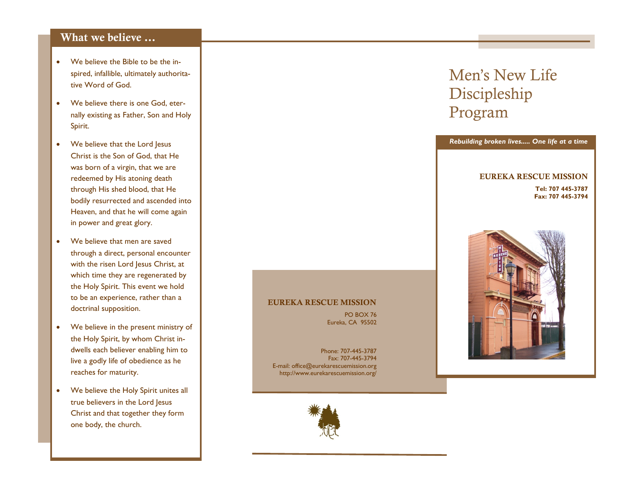#### **What we believe …**

- We believe the Bible to be the inspired, infallible, ultimately authoritative Word of God.
- We believe there is one God, eternally existing as Father, Son and Holy Spirit.
- We believe that the Lord Jesus Christ is the Son of God, that He was born of a virgin, that we are redeemed by His atoning death through His shed blood, that He bodily resurrected and ascended into Heaven, and that he will come again in power and great glory.
- We believe that men are saved through a direct, personal encounter with the risen Lord Jesus Christ, at which time they are regenerated by the Holy Spirit. This event we hold to be an experience, rather than a doctrinal supposition.
- We believe in the present ministry of the Holy Spirit, by whom Christ indwells each believer enabling him to live a godly life of obedience as he reaches for maturity.
- We believe the Holy Spirit unites all true believers in the Lord Jesus Christ and that together they form one body, the church.

# Men's New Life Discipleship Program



*Rebuilding broken lives..... One life at a time*

#### **EUREKA RESCUE MISSION**

PO BOX 76 Eureka, CA 95502

Phone: 707-445-3787 Fax: 707-445-3794 E-mail: office@eurekarescuemission.org http://www.eurekarescuemission.org/